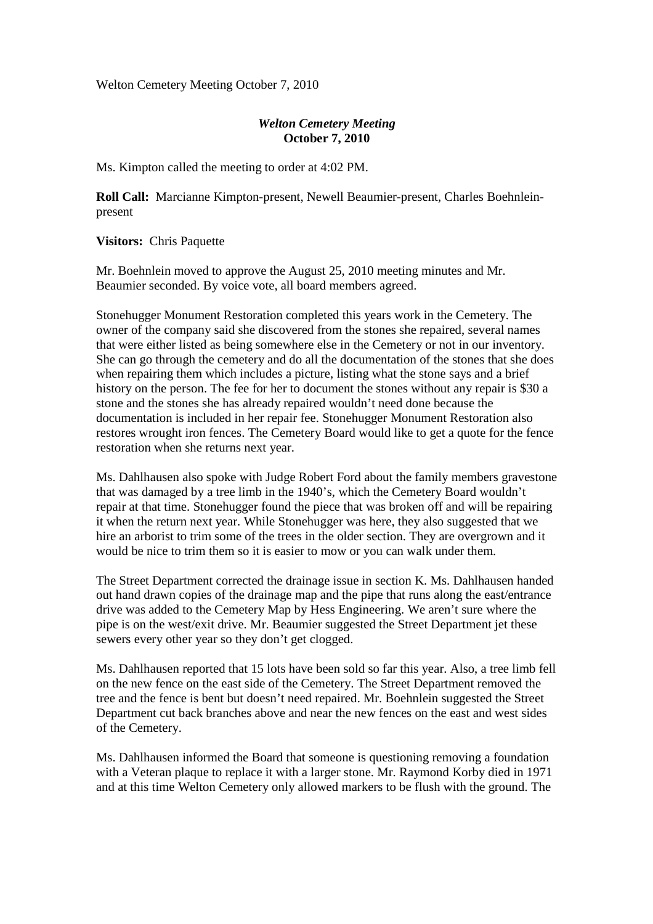Welton Cemetery Meeting October 7, 2010

## *Welton Cemetery Meeting*  **October 7, 2010**

Ms. Kimpton called the meeting to order at 4:02 PM.

**Roll Call:** Marcianne Kimpton-present, Newell Beaumier-present, Charles Boehnleinpresent

**Visitors:** Chris Paquette

Mr. Boehnlein moved to approve the August 25, 2010 meeting minutes and Mr. Beaumier seconded. By voice vote, all board members agreed.

Stonehugger Monument Restoration completed this years work in the Cemetery. The owner of the company said she discovered from the stones she repaired, several names that were either listed as being somewhere else in the Cemetery or not in our inventory. She can go through the cemetery and do all the documentation of the stones that she does when repairing them which includes a picture, listing what the stone says and a brief history on the person. The fee for her to document the stones without any repair is \$30 a stone and the stones she has already repaired wouldn't need done because the documentation is included in her repair fee. Stonehugger Monument Restoration also restores wrought iron fences. The Cemetery Board would like to get a quote for the fence restoration when she returns next year.

Ms. Dahlhausen also spoke with Judge Robert Ford about the family members gravestone that was damaged by a tree limb in the 1940's, which the Cemetery Board wouldn't repair at that time. Stonehugger found the piece that was broken off and will be repairing it when the return next year. While Stonehugger was here, they also suggested that we hire an arborist to trim some of the trees in the older section. They are overgrown and it would be nice to trim them so it is easier to mow or you can walk under them.

The Street Department corrected the drainage issue in section K. Ms. Dahlhausen handed out hand drawn copies of the drainage map and the pipe that runs along the east/entrance drive was added to the Cemetery Map by Hess Engineering. We aren't sure where the pipe is on the west/exit drive. Mr. Beaumier suggested the Street Department jet these sewers every other year so they don't get clogged.

Ms. Dahlhausen reported that 15 lots have been sold so far this year. Also, a tree limb fell on the new fence on the east side of the Cemetery. The Street Department removed the tree and the fence is bent but doesn't need repaired. Mr. Boehnlein suggested the Street Department cut back branches above and near the new fences on the east and west sides of the Cemetery.

Ms. Dahlhausen informed the Board that someone is questioning removing a foundation with a Veteran plaque to replace it with a larger stone. Mr. Raymond Korby died in 1971 and at this time Welton Cemetery only allowed markers to be flush with the ground. The